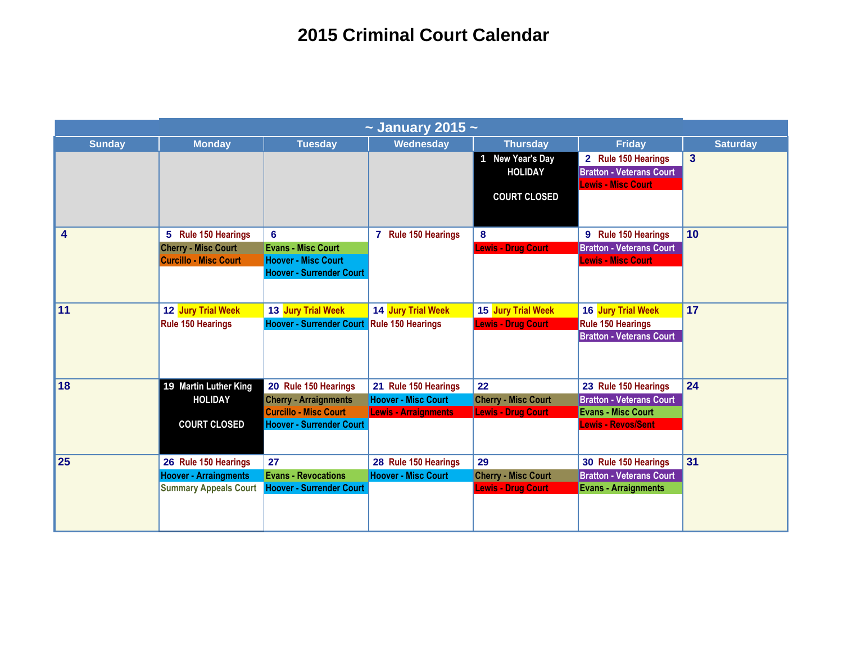| $\sim$ January 2015 $\sim$ |                              |                                 |                             |                            |                                 |                 |  |
|----------------------------|------------------------------|---------------------------------|-----------------------------|----------------------------|---------------------------------|-----------------|--|
| <b>Sunday</b>              | <b>Monday</b>                | <b>Tuesday</b>                  | Wednesday                   | <b>Thursday</b>            | <b>Friday</b>                   | <b>Saturday</b> |  |
|                            |                              |                                 |                             | 1 New Year's Day           | 2 Rule 150 Hearings             | $\overline{3}$  |  |
|                            |                              |                                 |                             | <b>HOLIDAY</b>             | <b>Bratton - Veterans Court</b> |                 |  |
|                            |                              |                                 |                             |                            | <b>Lewis - Misc Court</b>       |                 |  |
|                            |                              |                                 |                             | <b>COURT CLOSED</b>        |                                 |                 |  |
|                            |                              |                                 |                             |                            |                                 |                 |  |
| 4                          | 5 Rule 150 Hearings          | $6\phantom{a}$                  | 7 Rule 150 Hearings         | 8                          | 9 Rule 150 Hearings             | 10              |  |
|                            | <b>Cherry - Misc Court</b>   | <b>Evans - Misc Court</b>       |                             | <b>Lewis - Drug Court</b>  | <b>Bratton - Veterans Court</b> |                 |  |
|                            | <b>Curcillo - Misc Court</b> | <b>Hoover - Misc Court</b>      |                             |                            | <b>Lewis - Misc Court</b>       |                 |  |
|                            |                              | <b>Hoover - Surrender Court</b> |                             |                            |                                 |                 |  |
|                            |                              |                                 |                             |                            |                                 |                 |  |
| 11                         | 12 Jury Trial Week           | 13 Jury Trial Week              | 14 Jury Trial Week          | 15 Jury Trial Week         | 16 Jury Trial Week              | 17              |  |
|                            | <b>Rule 150 Hearings</b>     | <b>Hoover - Surrender Court</b> | <b>Rule 150 Hearings</b>    | <b>Lewis - Drug Court</b>  | <b>Rule 150 Hearings</b>        |                 |  |
|                            |                              |                                 |                             |                            | <b>Bratton - Veterans Court</b> |                 |  |
|                            |                              |                                 |                             |                            |                                 |                 |  |
|                            |                              |                                 |                             |                            |                                 |                 |  |
| 18                         | 19 Martin Luther King        | 20 Rule 150 Hearings            | 21 Rule 150 Hearings        | 22                         | 23 Rule 150 Hearings            | 24              |  |
|                            | <b>HOLIDAY</b>               | <b>Cherry - Arraignments</b>    | <b>Hoover - Misc Court</b>  | <b>Cherry - Misc Court</b> | <b>Bratton - Veterans Court</b> |                 |  |
|                            |                              | <b>Curcillo - Misc Court</b>    | <b>Lewis - Arraignments</b> | <b>Lewis - Drug Court</b>  | <b>Evans - Misc Court</b>       |                 |  |
|                            | <b>COURT CLOSED</b>          | <b>Hoover - Surrender Court</b> |                             |                            | <b>Lewis - Revos/Sent</b>       |                 |  |
|                            |                              |                                 |                             |                            |                                 |                 |  |
| 25                         | 26 Rule 150 Hearings         | 27                              | 28 Rule 150 Hearings        | 29                         | 30 Rule 150 Hearings            | 31              |  |
|                            | <b>Hoover - Arraingments</b> | <b>Evans - Revocations</b>      | <b>Hoover - Misc Court</b>  | <b>Cherry - Misc Court</b> | <b>Bratton - Veterans Court</b> |                 |  |
|                            | <b>Summary Appeals Court</b> | <b>Hoover - Surrender Court</b> |                             | <b>Lewis - Drug Court</b>  | <b>Evans - Arraignments</b>     |                 |  |
|                            |                              |                                 |                             |                            |                                 |                 |  |
|                            |                              |                                 |                             |                            |                                 |                 |  |
|                            |                              |                                 |                             |                            |                                 |                 |  |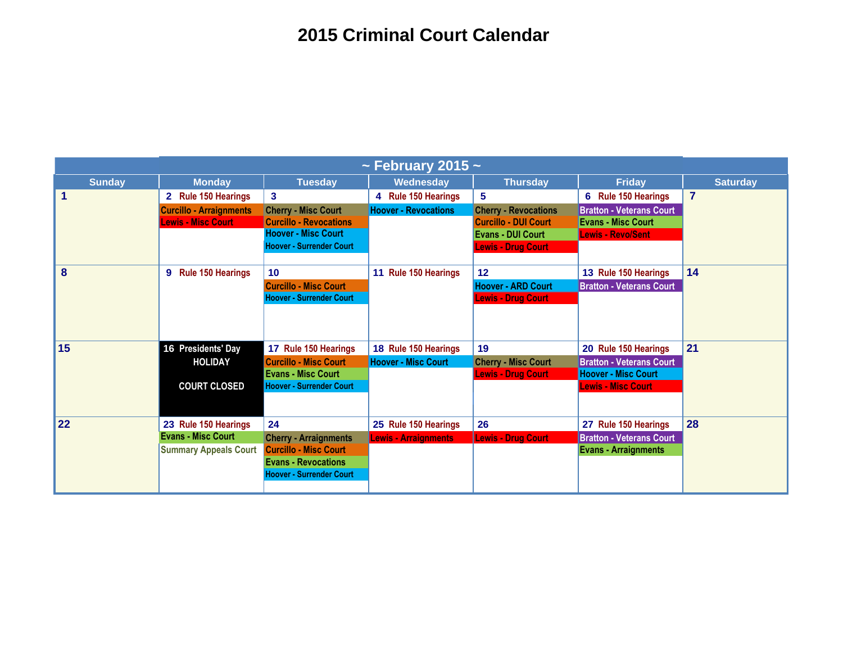| ~ February 2015 ~    |                                          |                                 |                             |                             |                                 |                 |
|----------------------|------------------------------------------|---------------------------------|-----------------------------|-----------------------------|---------------------------------|-----------------|
| <b>Sunday</b>        | <b>Monday</b>                            | <b>Tuesday</b>                  | Wednesday                   | <b>Thursday</b>             | <b>Friday</b>                   | <b>Saturday</b> |
| $\blacktriangleleft$ | <b>Rule 150 Hearings</b><br>$\mathbf{2}$ | $\mathbf{3}$                    | 4 Rule 150 Hearings         | 5                           | 6 Rule 150 Hearings             | $\overline{7}$  |
|                      | <b>Curcillo - Arraignments</b>           | <b>Cherry - Misc Court</b>      | <b>Hoover - Revocations</b> | <b>Cherry - Revocations</b> | <b>Bratton - Veterans Court</b> |                 |
|                      | <b>Lewis - Misc Court</b>                | <b>Curcillo - Revocations</b>   |                             | <b>Curcillo - DUI Court</b> | <b>Evans - Misc Court</b>       |                 |
|                      |                                          | <b>Hoover - Misc Court</b>      |                             | <b>Evans - DUI Court</b>    | <b>Lewis - Revo/Sent</b>        |                 |
|                      |                                          | <b>Hoover - Surrender Court</b> |                             | <b>Lewis - Drug Court</b>   |                                 |                 |
| 8                    | <b>Rule 150 Hearings</b><br>9            | 10                              | 11 Rule 150 Hearings        | 12                          | 13 Rule 150 Hearings            | 14              |
|                      |                                          | <b>Curcillo - Misc Court</b>    |                             | <b>Hoover - ARD Court</b>   | <b>Bratton - Veterans Court</b> |                 |
|                      |                                          | <b>Hoover - Surrender Court</b> |                             | <b>Lewis - Drug Court</b>   |                                 |                 |
|                      |                                          |                                 |                             |                             |                                 |                 |
| 15                   | 16 Presidents' Day                       | 17 Rule 150 Hearings            | 18 Rule 150 Hearings        | 19                          | 20 Rule 150 Hearings            | 21              |
|                      | <b>HOLIDAY</b>                           | <b>Curcillo - Misc Court</b>    | <b>Hoover - Misc Court</b>  | <b>Cherry - Misc Court</b>  | <b>Bratton - Veterans Court</b> |                 |
|                      |                                          | <b>Evans - Misc Court</b>       |                             | <b>Lewis - Drug Court</b>   | <b>Hoover - Misc Court</b>      |                 |
|                      | <b>COURT CLOSED</b>                      | <b>Hoover - Surrender Court</b> |                             |                             | <b>Lewis - Misc Court</b>       |                 |
|                      |                                          |                                 |                             |                             |                                 |                 |
| 22                   | 23 Rule 150 Hearings                     | 24                              | 25 Rule 150 Hearings        | 26                          | 27 Rule 150 Hearings            | 28              |
|                      | <b>Evans - Misc Court</b>                | <b>Cherry - Arraignments</b>    | <b>Lewis - Arraignments</b> | <b>Lewis - Drug Court</b>   | <b>Bratton - Veterans Court</b> |                 |
|                      | <b>Summary Appeals Court</b>             | <b>Curcillo - Misc Court</b>    |                             |                             | <b>Evans - Arraignments</b>     |                 |
|                      |                                          | <b>Evans - Revocations</b>      |                             |                             |                                 |                 |
|                      |                                          | <b>Hoover - Surrender Court</b> |                             |                             |                                 |                 |
|                      |                                          |                                 |                             |                             |                                 |                 |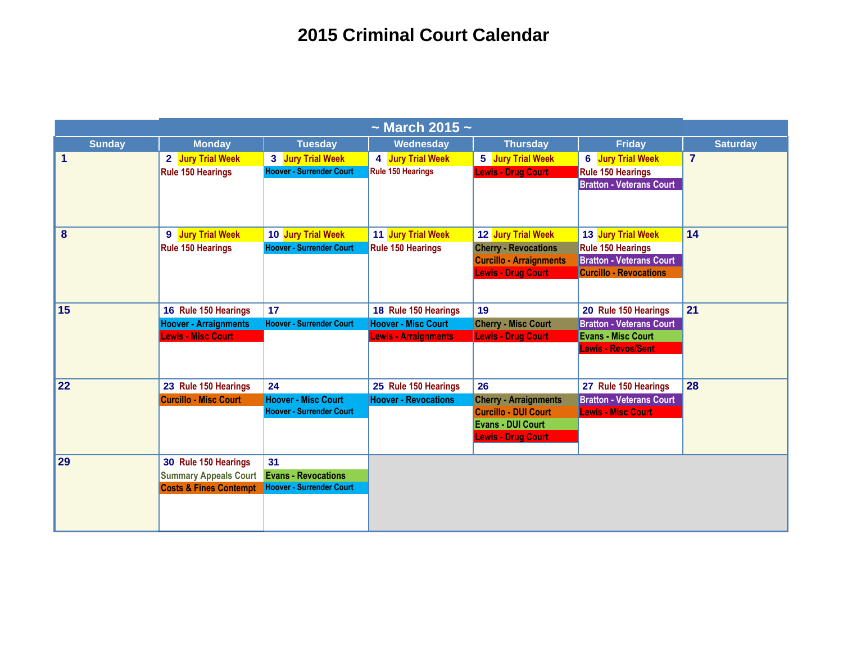| $\sim$ March 2015 $\sim$ |                                   |                                 |                             |                                |                                 |                 |
|--------------------------|-----------------------------------|---------------------------------|-----------------------------|--------------------------------|---------------------------------|-----------------|
| <b>Sunday</b>            | <b>Monday</b>                     | <b>Tuesday</b>                  | Wednesday                   | <b>Thursday</b>                | <b>Friday</b>                   | <b>Saturday</b> |
| $\mathbf{1}$             | 2 Jury Trial Week                 | 3 Jury Trial Week               | 4 Jury Trial Week           | 5 Jury Trial Week              | <b>6</b> Jury Trial Week        | $\overline{7}$  |
|                          | <b>Rule 150 Hearings</b>          | <b>Hoover - Surrender Court</b> | Rule 150 Hearings           | <b>Lewis - Drug Court</b>      | <b>Rule 150 Hearings</b>        |                 |
|                          |                                   |                                 |                             |                                | <b>Bratton - Veterans Court</b> |                 |
| 8                        | 9 Jury Trial Week                 | 10 Jury Trial Week              | 11 Jury Trial Week          | 12 Jury Trial Week             | 13 Jury Trial Week              | 14              |
|                          | <b>Rule 150 Hearings</b>          | <b>Hoover - Surrender Court</b> | <b>Rule 150 Hearings</b>    | <b>Cherry - Revocations</b>    | <b>Rule 150 Hearings</b>        |                 |
|                          |                                   |                                 |                             | <b>Curcillo - Arraignments</b> | <b>Bratton - Veterans Court</b> |                 |
|                          |                                   |                                 |                             | <b>Lewis - Drug Court</b>      | <b>Curcillo - Revocations</b>   |                 |
|                          |                                   |                                 |                             |                                |                                 |                 |
| 15                       | 16 Rule 150 Hearings              | 17                              | 18 Rule 150 Hearings        | 19                             | 20 Rule 150 Hearings            | 21              |
|                          | <b>Hoover - Arraignments</b>      | <b>Hoover - Surrender Court</b> | <b>Hoover - Misc Court</b>  | <b>Cherry - Misc Court</b>     | <b>Bratton - Veterans Court</b> |                 |
|                          | <b>Lewis - Misc Court</b>         |                                 | <b>Lewis - Arraignments</b> | <b>Lewis - Drug Court</b>      | <b>Evans - Misc Court</b>       |                 |
|                          |                                   |                                 |                             |                                | <b>Lewis - Revos/Sent</b>       |                 |
| 22                       | 23 Rule 150 Hearings              | 24                              | 25 Rule 150 Hearings        | 26                             | 27 Rule 150 Hearings            | 28              |
|                          | <b>Curcillo - Misc Court</b>      | <b>Hoover - Misc Court</b>      | <b>Hoover - Revocations</b> | <b>Cherry - Arraignments</b>   | <b>Bratton - Veterans Court</b> |                 |
|                          |                                   | <b>Hoover - Surrender Court</b> |                             | <b>Curcillo - DUI Court</b>    | <b>Lewis - Misc Court</b>       |                 |
|                          |                                   |                                 |                             | <b>Evans - DUI Court</b>       |                                 |                 |
|                          |                                   |                                 |                             | <b>Lewis - Drug Court</b>      |                                 |                 |
| 29                       | 30 Rule 150 Hearings              | 31                              |                             |                                |                                 |                 |
|                          | <b>Summary Appeals Court</b>      | <b>Evans - Revocations</b>      |                             |                                |                                 |                 |
|                          | <b>Costs &amp; Fines Contempt</b> | <b>Hoover - Surrender Court</b> |                             |                                |                                 |                 |
|                          |                                   |                                 |                             |                                |                                 |                 |
|                          |                                   |                                 |                             |                                |                                 |                 |
|                          |                                   |                                 |                             |                                |                                 |                 |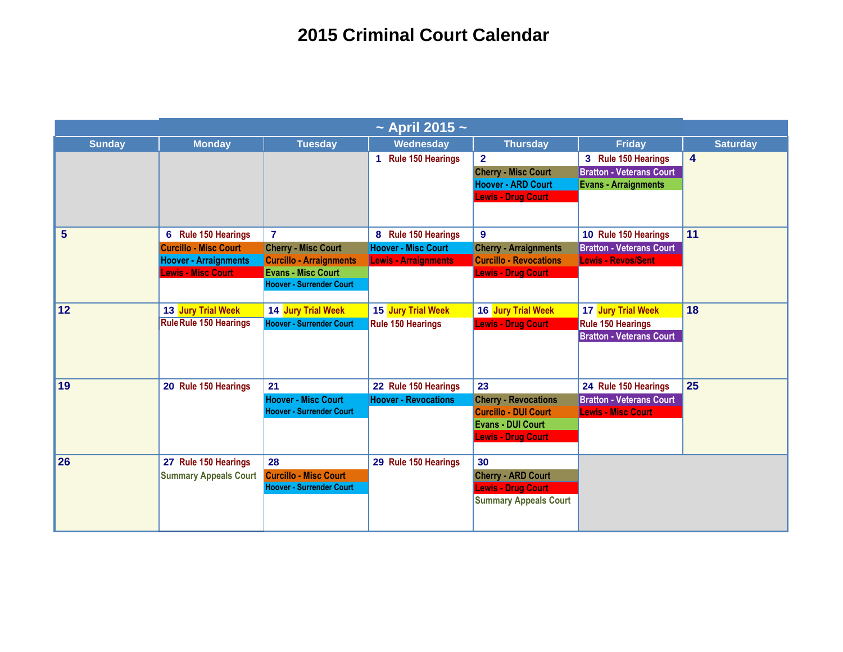| $\sim$ April 2015 $\sim$ |                               |                                 |                             |                               |                                 |                         |  |
|--------------------------|-------------------------------|---------------------------------|-----------------------------|-------------------------------|---------------------------------|-------------------------|--|
| <b>Sunday</b>            | <b>Monday</b>                 | <b>Tuesday</b>                  | Wednesday                   | <b>Thursday</b>               | <b>Friday</b>                   | <b>Saturday</b>         |  |
|                          |                               |                                 | 1 Rule 150 Hearings         | $\overline{2}$                | 3 Rule 150 Hearings             | $\overline{\mathbf{4}}$ |  |
|                          |                               |                                 |                             | <b>Cherry - Misc Court</b>    | <b>Bratton - Veterans Court</b> |                         |  |
|                          |                               |                                 |                             | <b>Hoover - ARD Court</b>     | <b>Evans - Arraignments</b>     |                         |  |
|                          |                               |                                 |                             | <b>Lewis - Drug Court</b>     |                                 |                         |  |
|                          |                               |                                 |                             |                               |                                 |                         |  |
| 5                        | 6 Rule 150 Hearings           | $\overline{7}$                  | 8 Rule 150 Hearings         | $\mathbf{9}$                  | 10 Rule 150 Hearings            | 11                      |  |
|                          | <b>Curcillo - Misc Court</b>  | <b>Cherry - Misc Court</b>      | <b>Hoover - Misc Court</b>  | <b>Cherry - Arraignments</b>  | <b>Bratton - Veterans Court</b> |                         |  |
|                          | <b>Hoover - Arraignments</b>  | <b>Curcillo - Arraignments</b>  | <b>Lewis - Arraignments</b> | <b>Curcillo - Revocations</b> | <b>Lewis - Revos/Sent</b>       |                         |  |
|                          | <b>Lewis - Misc Court</b>     | <b>Evans - Misc Court</b>       |                             | <b>Lewis - Drug Court</b>     |                                 |                         |  |
|                          |                               | <b>Hoover - Surrender Court</b> |                             |                               |                                 |                         |  |
| 12                       | 13 Jury Trial Week            | 14 Jury Trial Week              | 15 Jury Trial Week          | 16 Jury Trial Week            | 17 Jury Trial Week              | 18                      |  |
|                          | <b>Rule Rule 150 Hearings</b> | <b>Hoover - Surrender Court</b> | <b>Rule 150 Hearings</b>    | <b>Lewis - Drug Court</b>     | <b>Rule 150 Hearings</b>        |                         |  |
|                          |                               |                                 |                             |                               | <b>Bratton - Veterans Court</b> |                         |  |
|                          |                               |                                 |                             |                               |                                 |                         |  |
|                          |                               |                                 |                             |                               |                                 |                         |  |
| 19                       | 20 Rule 150 Hearings          | 21                              | 22 Rule 150 Hearings        | 23                            | 24 Rule 150 Hearings            | 25                      |  |
|                          |                               | <b>Hoover - Misc Court</b>      | <b>Hoover - Revocations</b> | <b>Cherry - Revocations</b>   | <b>Bratton - Veterans Court</b> |                         |  |
|                          |                               | <b>Hoover - Surrender Court</b> |                             | <b>Curcillo - DUI Court</b>   | <b>Lewis - Misc Court</b>       |                         |  |
|                          |                               |                                 |                             | <b>Evans - DUI Court</b>      |                                 |                         |  |
|                          |                               |                                 |                             | <b>Lewis - Drug Court</b>     |                                 |                         |  |
| 26                       | 27 Rule 150 Hearings          | 28                              | 29 Rule 150 Hearings        | 30                            |                                 |                         |  |
|                          | <b>Summary Appeals Court</b>  | <b>Curcillo - Misc Court</b>    |                             | <b>Cherry - ARD Court</b>     |                                 |                         |  |
|                          |                               | <b>Hoover - Surrender Court</b> |                             | <b>Lewis - Drug Court</b>     |                                 |                         |  |
|                          |                               |                                 |                             | <b>Summary Appeals Court</b>  |                                 |                         |  |
|                          |                               |                                 |                             |                               |                                 |                         |  |
|                          |                               |                                 |                             |                               |                                 |                         |  |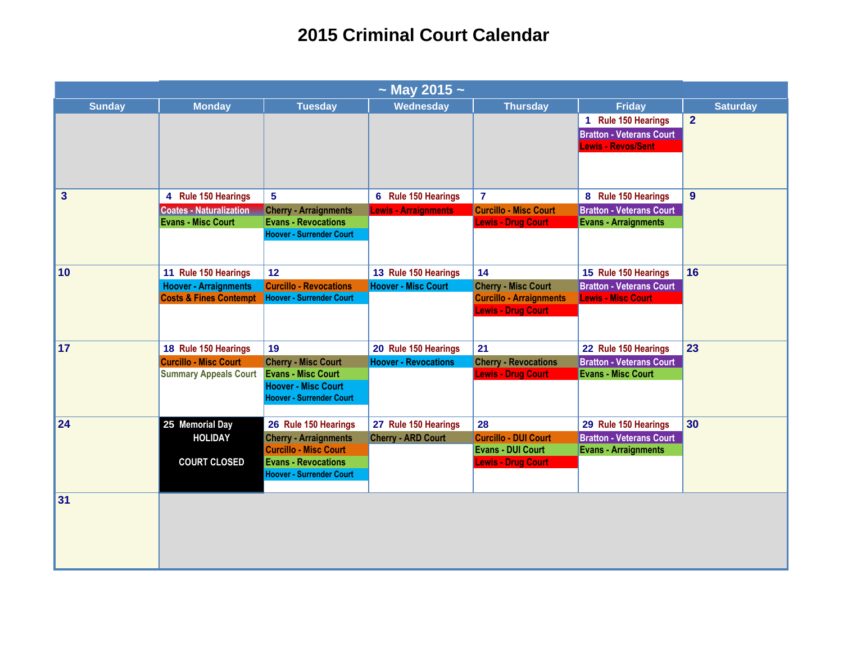| $\sim$ May 2015 $\sim$  |                                   |                                                               |                             |                                |                                 |                 |  |
|-------------------------|-----------------------------------|---------------------------------------------------------------|-----------------------------|--------------------------------|---------------------------------|-----------------|--|
| <b>Sunday</b>           | <b>Monday</b>                     | <b>Tuesday</b>                                                | Wednesday                   | <b>Thursday</b>                | <b>Friday</b>                   | <b>Saturday</b> |  |
|                         |                                   |                                                               |                             |                                | 1 Rule 150 Hearings             | $\overline{2}$  |  |
|                         |                                   |                                                               |                             |                                | <b>Bratton - Veterans Court</b> |                 |  |
|                         |                                   |                                                               |                             |                                | <b>Lewis - Revos/Sent</b>       |                 |  |
|                         |                                   |                                                               |                             |                                |                                 |                 |  |
|                         |                                   |                                                               |                             |                                |                                 |                 |  |
| $\overline{\mathbf{3}}$ | 4 Rule 150 Hearings               | $\overline{\mathbf{5}}$                                       | 6 Rule 150 Hearings         | $\overline{7}$                 | 8 Rule 150 Hearings             | 9               |  |
|                         | <b>Coates - Naturalization</b>    | <b>Cherry - Arraignments</b>                                  | <b>Lewis - Arraignments</b> | <b>Curcillo - Misc Court</b>   | <b>Bratton - Veterans Court</b> |                 |  |
|                         | <b>Evans - Misc Court</b>         | <b>Evans - Revocations</b>                                    |                             | <b>Lewis - Drug Court</b>      | <b>Evans - Arraignments</b>     |                 |  |
|                         |                                   | <b>Hoover - Surrender Court</b>                               |                             |                                |                                 |                 |  |
|                         |                                   |                                                               |                             |                                |                                 |                 |  |
| 10                      | 11 Rule 150 Hearings              | 12 <sup>2</sup>                                               | 13 Rule 150 Hearings        | 14                             | 15 Rule 150 Hearings            | 16              |  |
|                         | <b>Hoover - Arraignments</b>      | <b>Curcillo - Revocations</b>                                 | <b>Hoover - Misc Court</b>  | <b>Cherry - Misc Court</b>     | <b>Bratton - Veterans Court</b> |                 |  |
|                         | <b>Costs &amp; Fines Contempt</b> | <b>Hoover - Surrender Court</b>                               |                             | <b>Curcillo - Arraignments</b> | <b>Lewis - Misc Court</b>       |                 |  |
|                         |                                   |                                                               |                             | <b>Lewis - Drug Court</b>      |                                 |                 |  |
|                         |                                   |                                                               |                             |                                |                                 |                 |  |
|                         |                                   |                                                               |                             |                                |                                 |                 |  |
| 17                      | 18 Rule 150 Hearings              | 19                                                            | 20 Rule 150 Hearings        | 21                             | 22 Rule 150 Hearings            | 23              |  |
|                         | <b>Curcillo - Misc Court</b>      | <b>Cherry - Misc Court</b>                                    | <b>Hoover - Revocations</b> | <b>Cherry - Revocations</b>    | <b>Bratton - Veterans Court</b> |                 |  |
|                         | <b>Summary Appeals Court</b>      | <b>Evans - Misc Court</b>                                     |                             | <b>Lewis - Drug Court</b>      | <b>Evans - Misc Court</b>       |                 |  |
|                         |                                   | <b>Hoover - Misc Court</b><br><b>Hoover - Surrender Court</b> |                             |                                |                                 |                 |  |
|                         |                                   |                                                               |                             |                                |                                 |                 |  |
| 24                      | 25 Memorial Day                   | 26 Rule 150 Hearings                                          | 27 Rule 150 Hearings        | 28                             | 29 Rule 150 Hearings            | 30              |  |
|                         | <b>HOLIDAY</b>                    | <b>Cherry - Arraignments</b>                                  | <b>Cherry - ARD Court</b>   | <b>Curcillo - DUI Court</b>    | <b>Bratton - Veterans Court</b> |                 |  |
|                         |                                   | <b>Curcillo - Misc Court</b>                                  |                             | <b>Evans - DUI Court</b>       | <b>Evans - Arraignments</b>     |                 |  |
|                         | <b>COURT CLOSED</b>               | <b>Evans - Revocations</b>                                    |                             | <b>Lewis - Drug Court</b>      |                                 |                 |  |
|                         |                                   | <b>Hoover - Surrender Court</b>                               |                             |                                |                                 |                 |  |
|                         |                                   |                                                               |                             |                                |                                 |                 |  |
| 31                      |                                   |                                                               |                             |                                |                                 |                 |  |
|                         |                                   |                                                               |                             |                                |                                 |                 |  |
|                         |                                   |                                                               |                             |                                |                                 |                 |  |
|                         |                                   |                                                               |                             |                                |                                 |                 |  |
|                         |                                   |                                                               |                             |                                |                                 |                 |  |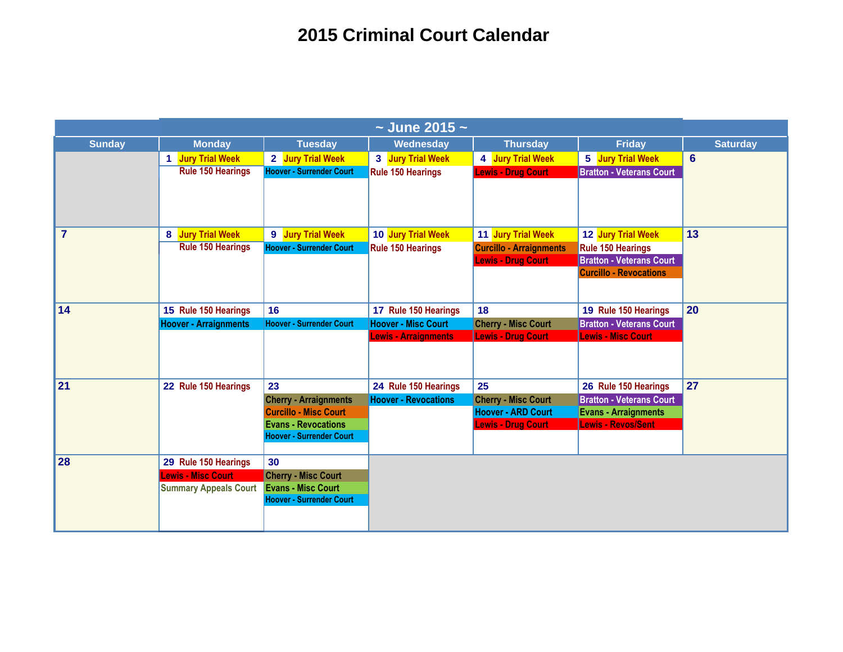| $\sim$ June 2015 $\sim$ |                              |                                 |                             |                                |                                 |                 |
|-------------------------|------------------------------|---------------------------------|-----------------------------|--------------------------------|---------------------------------|-----------------|
| <b>Sunday</b>           | <b>Monday</b>                | <b>Tuesday</b>                  | Wednesday                   | <b>Thursday</b>                | <b>Friday</b>                   | <b>Saturday</b> |
|                         | 1 Jury Trial Week            | 2 Jury Trial Week               | 3 Jury Trial Week           | 4 Jury Trial Week              | 5 Jury Trial Week               | 6               |
|                         | <b>Rule 150 Hearings</b>     | <b>Hoover - Surrender Court</b> | <b>Rule 150 Hearings</b>    | <b>Lewis - Drug Court</b>      | <b>Bratton - Veterans Court</b> |                 |
|                         |                              |                                 |                             |                                |                                 |                 |
|                         |                              |                                 |                             |                                |                                 |                 |
| $\overline{7}$          | 8 Jury Trial Week            | 9 Jury Trial Week               | 10 Jury Trial Week          | 11 Jury Trial Week             | 12 Jury Trial Week              | 13              |
|                         | <b>Rule 150 Hearings</b>     | <b>Hoover - Surrender Court</b> | <b>Rule 150 Hearings</b>    | <b>Curcillo - Arraignments</b> | <b>Rule 150 Hearings</b>        |                 |
|                         |                              |                                 |                             | <b>Lewis - Drug Court</b>      | <b>Bratton - Veterans Court</b> |                 |
|                         |                              |                                 |                             |                                | <b>Curcillo - Revocations</b>   |                 |
|                         |                              |                                 |                             |                                |                                 |                 |
| 14                      | 15 Rule 150 Hearings         | 16                              | 17 Rule 150 Hearings        | 18                             | 19 Rule 150 Hearings            | 20              |
|                         | <b>Hoover - Arraignments</b> | <b>Hoover - Surrender Court</b> | <b>Hoover - Misc Court</b>  | <b>Cherry - Misc Court</b>     | <b>Bratton - Veterans Court</b> |                 |
|                         |                              |                                 | <b>Lewis - Arraignments</b> | <b>Lewis - Drug Court</b>      | <b>Lewis - Misc Court</b>       |                 |
|                         |                              |                                 |                             |                                |                                 |                 |
| 21                      | 22 Rule 150 Hearings         | 23                              | 24 Rule 150 Hearings        | 25                             | 26 Rule 150 Hearings            | 27              |
|                         |                              | <b>Cherry - Arraignments</b>    | <b>Hoover - Revocations</b> | <b>Cherry - Misc Court</b>     | <b>Bratton - Veterans Court</b> |                 |
|                         |                              | <b>Curcillo - Misc Court</b>    |                             | <b>Hoover - ARD Court</b>      | <b>Evans - Arraignments</b>     |                 |
|                         |                              | <b>Evans - Revocations</b>      |                             | <b>Lewis - Drug Court</b>      | <b>Lewis - Revos/Sent</b>       |                 |
|                         |                              | <b>Hoover - Surrender Court</b> |                             |                                |                                 |                 |
| 28                      | 29 Rule 150 Hearings         | 30                              |                             |                                |                                 |                 |
|                         | <b>Lewis - Misc Court</b>    | <b>Cherry - Misc Court</b>      |                             |                                |                                 |                 |
|                         | <b>Summary Appeals Court</b> | <b>Evans - Misc Court</b>       |                             |                                |                                 |                 |
|                         |                              | <b>Hoover - Surrender Court</b> |                             |                                |                                 |                 |
|                         |                              |                                 |                             |                                |                                 |                 |
|                         |                              |                                 |                             |                                |                                 |                 |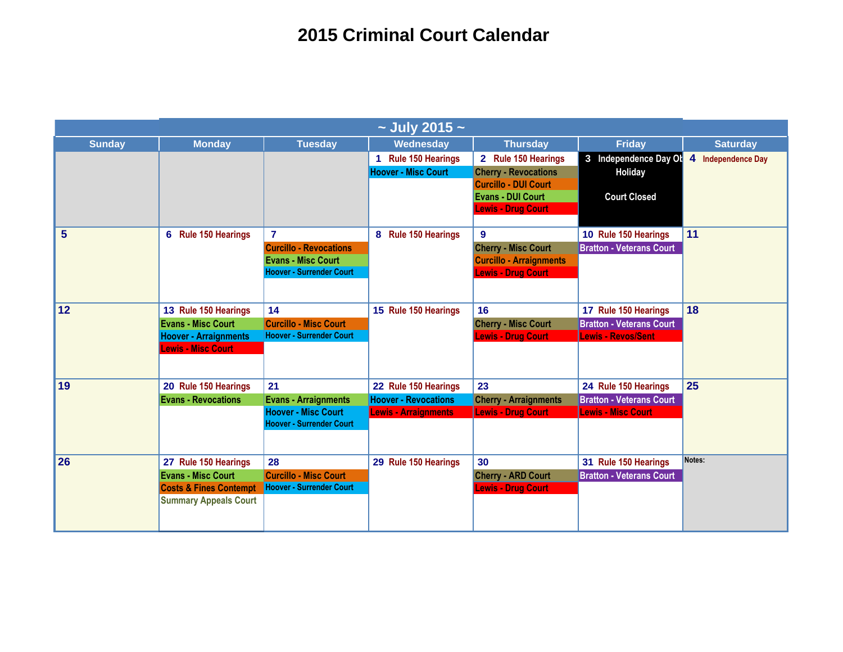| $\sim$ July 2015 $\sim$ |                                   |                                 |                             |                                |                                 |                    |  |
|-------------------------|-----------------------------------|---------------------------------|-----------------------------|--------------------------------|---------------------------------|--------------------|--|
| <b>Sunday</b>           | <b>Monday</b>                     | <b>Tuesday</b>                  | Wednesday                   | <b>Thursday</b>                | <b>Friday</b>                   | <b>Saturday</b>    |  |
|                         |                                   |                                 | 1 Rule 150 Hearings         | 2 Rule 150 Hearings            | 3 Independence Day Ol           | 4 Independence Day |  |
|                         |                                   |                                 | <b>Hoover - Misc Court</b>  | <b>Cherry - Revocations</b>    | Holiday                         |                    |  |
|                         |                                   |                                 |                             | <b>Curcillo - DUI Court</b>    |                                 |                    |  |
|                         |                                   |                                 |                             | <b>Evans - DUI Court</b>       | <b>Court Closed</b>             |                    |  |
|                         |                                   |                                 |                             | <b>Lewis - Drug Court</b>      |                                 |                    |  |
| $5\phantom{1}$          | 6 Rule 150 Hearings               | $\overline{7}$                  | 8 Rule 150 Hearings         | $\mathbf{9}$                   | 10 Rule 150 Hearings            | 11                 |  |
|                         |                                   | <b>Curcillo - Revocations</b>   |                             | <b>Cherry - Misc Court</b>     | <b>Bratton - Veterans Court</b> |                    |  |
|                         |                                   | <b>Evans - Misc Court</b>       |                             | <b>Curcillo - Arraignments</b> |                                 |                    |  |
|                         |                                   | <b>Hoover - Surrender Court</b> |                             | <b>Lewis - Drug Court</b>      |                                 |                    |  |
|                         |                                   |                                 |                             |                                |                                 |                    |  |
| 12                      | 13 Rule 150 Hearings              | 14                              | 15 Rule 150 Hearings        | 16                             | 17 Rule 150 Hearings            | 18                 |  |
|                         | <b>Evans - Misc Court</b>         | <b>Curcillo - Misc Court</b>    |                             | <b>Cherry - Misc Court</b>     | <b>Bratton - Veterans Court</b> |                    |  |
|                         | <b>Hoover - Arraignments</b>      | <b>Hoover - Surrender Court</b> |                             | <b>Lewis - Drug Court</b>      | <b>Lewis - Revos/Sent</b>       |                    |  |
|                         | <b>Lewis - Misc Court</b>         |                                 |                             |                                |                                 |                    |  |
|                         |                                   |                                 |                             |                                |                                 |                    |  |
| 19                      | 20 Rule 150 Hearings              | 21                              | 22 Rule 150 Hearings        | 23                             | 24 Rule 150 Hearings            | 25                 |  |
|                         | <b>Evans - Revocations</b>        | <b>Evans - Arraignments</b>     | <b>Hoover - Revocations</b> | <b>Cherry - Arraignments</b>   | <b>Bratton - Veterans Court</b> |                    |  |
|                         |                                   | <b>Hoover - Misc Court</b>      | <b>Lewis - Arraignments</b> | <b>Lewis - Drug Court</b>      | <b>Lewis - Misc Court</b>       |                    |  |
|                         |                                   | <b>Hoover - Surrender Court</b> |                             |                                |                                 |                    |  |
|                         |                                   |                                 |                             |                                |                                 |                    |  |
| 26                      | 27 Rule 150 Hearings              | 28                              | 29 Rule 150 Hearings        | 30                             | 31 Rule 150 Hearings            | Notes:             |  |
|                         | <b>Evans - Misc Court</b>         | <b>Curcillo - Misc Court</b>    |                             | <b>Cherry - ARD Court</b>      | <b>Bratton - Veterans Court</b> |                    |  |
|                         | <b>Costs &amp; Fines Contempt</b> | <b>Hoover - Surrender Court</b> |                             | <b>Lewis - Drug Court</b>      |                                 |                    |  |
|                         | <b>Summary Appeals Court</b>      |                                 |                             |                                |                                 |                    |  |
|                         |                                   |                                 |                             |                                |                                 |                    |  |
|                         |                                   |                                 |                             |                                |                                 |                    |  |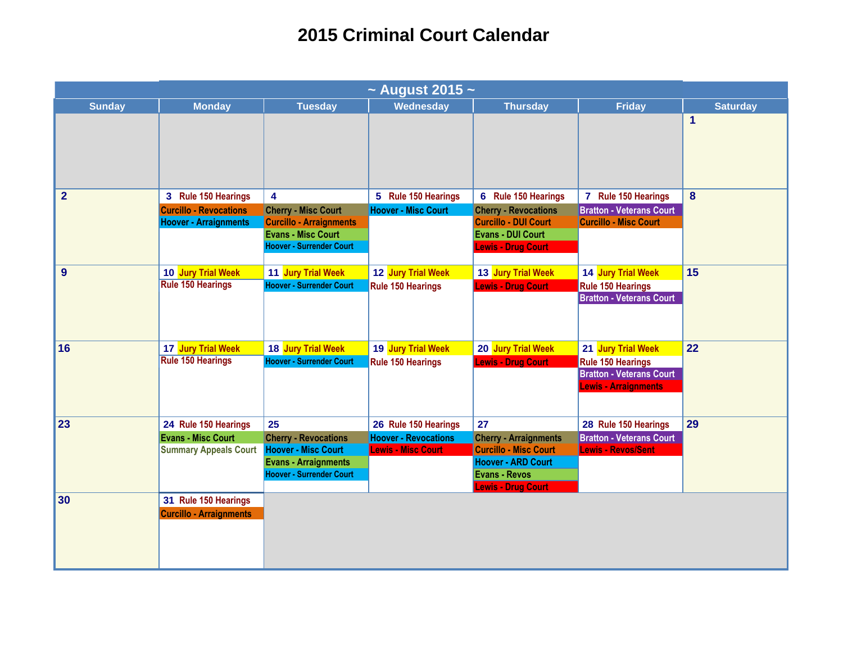|                | $\sim$ August 2015 $\sim$                                                         |                                                                                                                                   |                                                                                  |                                                                                                                                                      |                                                                                                                  |                 |  |  |
|----------------|-----------------------------------------------------------------------------------|-----------------------------------------------------------------------------------------------------------------------------------|----------------------------------------------------------------------------------|------------------------------------------------------------------------------------------------------------------------------------------------------|------------------------------------------------------------------------------------------------------------------|-----------------|--|--|
| <b>Sunday</b>  | <b>Monday</b>                                                                     | <b>Tuesday</b>                                                                                                                    | Wednesday                                                                        | <b>Thursday</b>                                                                                                                                      | <b>Friday</b>                                                                                                    | <b>Saturday</b> |  |  |
|                |                                                                                   |                                                                                                                                   |                                                                                  |                                                                                                                                                      |                                                                                                                  | $\mathbf{1}$    |  |  |
| $\overline{2}$ | 3 Rule 150 Hearings                                                               | 4                                                                                                                                 | 5 Rule 150 Hearings                                                              | 6 Rule 150 Hearings                                                                                                                                  | 7 Rule 150 Hearings                                                                                              | 8               |  |  |
|                | <b>Curcillo - Revocations</b><br><b>Hoover - Arraignments</b>                     | <b>Cherry - Misc Court</b><br><b>Curcillo - Arraignments</b><br><b>Evans - Misc Court</b><br><b>Hoover - Surrender Court</b>      | <b>Hoover - Misc Court</b>                                                       | <b>Cherry - Revocations</b><br><b>Curcillo - DUI Court</b><br><b>Evans - DUI Court</b><br><b>Lewis - Drug Court</b>                                  | <b>Bratton - Veterans Court</b><br><b>Curcillo - Misc Court</b>                                                  |                 |  |  |
| 9              | 10 Jury Trial Week<br><b>Rule 150 Hearings</b>                                    | 11 Jury Trial Week<br><b>Hoover - Surrender Court</b>                                                                             | 12 Jury Trial Week<br><b>Rule 150 Hearings</b>                                   | 13 Jury Trial Week<br><b>Lewis - Drug Court</b>                                                                                                      | 14 Jury Trial Week<br><b>Rule 150 Hearings</b><br><b>Bratton - Veterans Court</b>                                | 15              |  |  |
| 16             | 17 Jury Trial Week<br><b>Rule 150 Hearings</b>                                    | 18 Jury Trial Week<br><b>Hoover - Surrender Court</b>                                                                             | 19 Jury Trial Week<br><b>Rule 150 Hearings</b>                                   | 20 Jury Trial Week<br><b>Lewis - Drug Court</b>                                                                                                      | 21 Jury Trial Week<br><b>Rule 150 Hearings</b><br><b>Bratton - Veterans Court</b><br><b>Lewis - Arraignments</b> | 22              |  |  |
| 23             | 24 Rule 150 Hearings<br><b>Evans - Misc Court</b><br><b>Summary Appeals Court</b> | 25<br><b>Cherry - Revocations</b><br><b>Hoover - Misc Court</b><br><b>Evans - Arraignments</b><br><b>Hoover - Surrender Court</b> | 26 Rule 150 Hearings<br><b>Hoover - Revocations</b><br><b>Lewis - Misc Court</b> | 27<br><b>Cherry - Arraignments</b><br><b>Curcillo - Misc Court</b><br><b>Hoover - ARD Court</b><br><b>Evans - Revos</b><br><b>Lewis - Drug Court</b> | 28 Rule 150 Hearings<br><b>Bratton - Veterans Court</b><br><b>Lewis - Revos/Sent</b>                             | 29              |  |  |
| 30             | 31 Rule 150 Hearings<br><b>Curcillo - Arraignments</b>                            |                                                                                                                                   |                                                                                  |                                                                                                                                                      |                                                                                                                  |                 |  |  |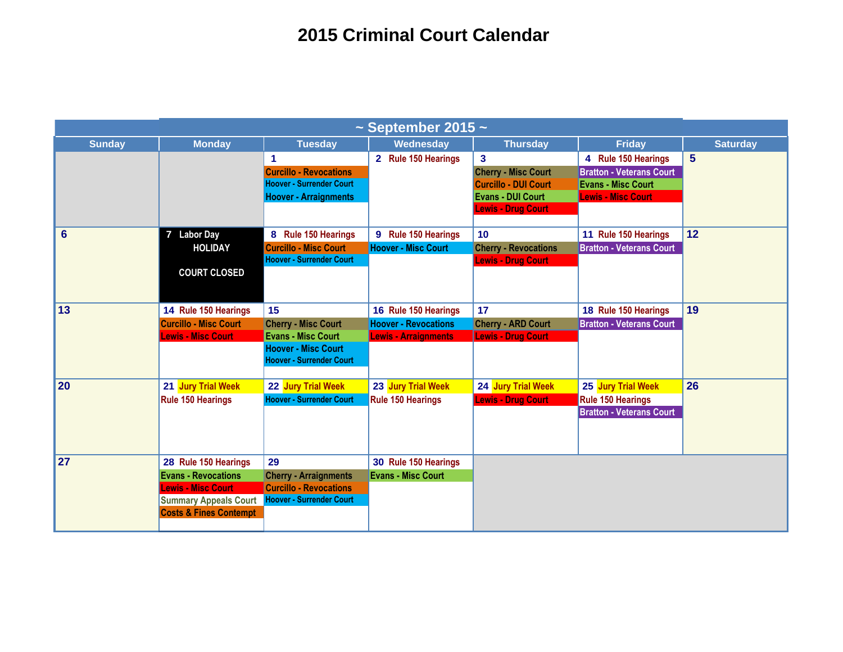| $\sim$ September 2015 $\sim$ |                                                                                                                                                      |                                                                                                                                |                                                                                    |                                                                                                                                               |                                                                                                                  |                 |  |
|------------------------------|------------------------------------------------------------------------------------------------------------------------------------------------------|--------------------------------------------------------------------------------------------------------------------------------|------------------------------------------------------------------------------------|-----------------------------------------------------------------------------------------------------------------------------------------------|------------------------------------------------------------------------------------------------------------------|-----------------|--|
| <b>Sunday</b>                | <b>Monday</b>                                                                                                                                        | <b>Tuesday</b>                                                                                                                 | Wednesday                                                                          | <b>Thursday</b>                                                                                                                               | <b>Friday</b>                                                                                                    | <b>Saturday</b> |  |
|                              |                                                                                                                                                      | 1<br><b>Curcillo - Revocations</b><br><b>Hoover - Surrender Court</b><br><b>Hoover - Arraignments</b>                          | 2 Rule 150 Hearings                                                                | $\overline{\mathbf{3}}$<br><b>Cherry - Misc Court</b><br><b>Curcillo - DUI Court</b><br><b>Evans - DUI Court</b><br><b>Lewis - Drug Court</b> | 4 Rule 150 Hearings<br><b>Bratton - Veterans Court</b><br><b>Evans - Misc Court</b><br><b>Lewis - Misc Court</b> | $5\phantom{1}$  |  |
| 6                            | 7 Labor Day<br><b>HOLIDAY</b><br><b>COURT CLOSED</b>                                                                                                 | 8 Rule 150 Hearings<br><b>Curcillo - Misc Court</b><br><b>Hoover - Surrender Court</b>                                         | 9 Rule 150 Hearings<br><b>Hoover - Misc Court</b>                                  | 10<br><b>Cherry - Revocations</b><br><b>Lewis - Drug Court</b>                                                                                | 11 Rule 150 Hearings<br><b>Bratton - Veterans Court</b>                                                          | 12              |  |
| 13                           | 14 Rule 150 Hearings<br><b>Curcillo - Misc Court</b><br><b>Lewis - Misc Court</b>                                                                    | 15<br><b>Cherry - Misc Court</b><br><b>Evans - Misc Court</b><br><b>Hoover - Misc Court</b><br><b>Hoover - Surrender Court</b> | 16 Rule 150 Hearings<br><b>Hoover - Revocations</b><br><b>Lewis - Arraignments</b> | 17<br><b>Cherry - ARD Court</b><br><b>Lewis - Drug Court</b>                                                                                  | 18 Rule 150 Hearings<br><b>Bratton - Veterans Court</b>                                                          | 19              |  |
| 20                           | 21 Jury Trial Week<br><b>Rule 150 Hearings</b>                                                                                                       | 22 Jury Trial Week<br><b>Hoover - Surrender Court</b>                                                                          | 23 Jury Trial Week<br><b>Rule 150 Hearings</b>                                     | 24 Jury Trial Week<br><b>Lewis - Drug Court</b>                                                                                               | 25 Jury Trial Week<br>Rule 150 Hearings<br><b>Bratton - Veterans Court</b>                                       | 26              |  |
| 27                           | 28 Rule 150 Hearings<br><b>Evans - Revocations</b><br><b>Lewis - Misc Court</b><br><b>Summary Appeals Court</b><br><b>Costs &amp; Fines Contempt</b> | 29<br><b>Cherry - Arraignments</b><br><b>Curcillo - Revocations</b><br><b>Hoover - Surrender Court</b>                         | 30 Rule 150 Hearings<br><b>Evans - Misc Court</b>                                  |                                                                                                                                               |                                                                                                                  |                 |  |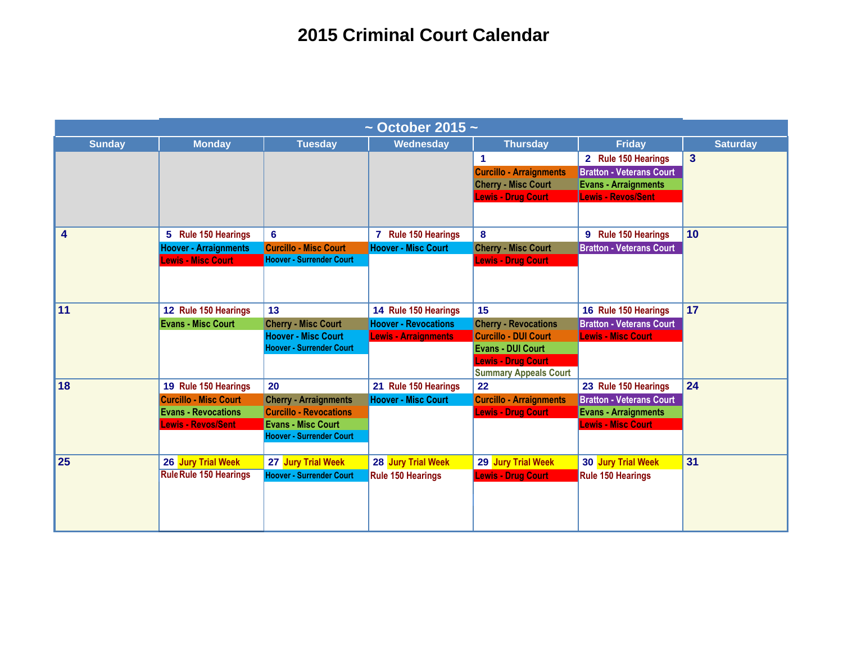| $\sim$ October 2015 $\sim$ |                                                         |                                                               |                             |                                    |                                                          |                         |  |  |
|----------------------------|---------------------------------------------------------|---------------------------------------------------------------|-----------------------------|------------------------------------|----------------------------------------------------------|-------------------------|--|--|
| <b>Sunday</b>              | <b>Monday</b>                                           | <b>Tuesday</b>                                                | Wednesday                   | <b>Thursday</b>                    | <b>Friday</b>                                            | <b>Saturday</b>         |  |  |
|                            |                                                         |                                                               |                             | $\blacktriangleleft$               | 2 Rule 150 Hearings                                      | $\overline{\mathbf{3}}$ |  |  |
|                            |                                                         |                                                               |                             | <b>Curcillo - Arraignments</b>     | <b>Bratton - Veterans Court</b>                          |                         |  |  |
|                            |                                                         |                                                               |                             | <b>Cherry - Misc Court</b>         | <b>Evans - Arraignments</b>                              |                         |  |  |
|                            |                                                         |                                                               |                             | <b>Lewis - Drug Court</b>          | <b>Lewis - Revos/Sent</b>                                |                         |  |  |
|                            |                                                         |                                                               |                             |                                    |                                                          |                         |  |  |
| 4                          | 5 Rule 150 Hearings                                     | $6\phantom{a}$                                                | 7 Rule 150 Hearings         | 8                                  | 9 Rule 150 Hearings                                      | 10                      |  |  |
|                            | <b>Hoover - Arraignments</b>                            | <b>Curcillo - Misc Court</b>                                  | <b>Hoover - Misc Court</b>  | <b>Cherry - Misc Court</b>         | <b>Bratton - Veterans Court</b>                          |                         |  |  |
|                            | <b>Lewis - Misc Court</b>                               | <b>Hoover - Surrender Court</b>                               |                             | <b>Lewis - Drug Court</b>          |                                                          |                         |  |  |
|                            |                                                         |                                                               |                             |                                    |                                                          |                         |  |  |
|                            |                                                         |                                                               |                             |                                    |                                                          |                         |  |  |
| 11                         | 12 Rule 150 Hearings                                    | 13                                                            | 14 Rule 150 Hearings        | 15                                 | 16 Rule 150 Hearings                                     | 17                      |  |  |
|                            | <b>Evans - Misc Court</b>                               | <b>Cherry - Misc Court</b>                                    | <b>Hoover - Revocations</b> | <b>Cherry - Revocations</b>        | <b>Bratton - Veterans Court</b>                          |                         |  |  |
|                            |                                                         | <b>Hoover - Misc Court</b>                                    | <b>Lewis - Arraignments</b> | <b>Curcillo - DUI Court</b>        | <b>Lewis - Misc Court</b>                                |                         |  |  |
|                            |                                                         | <b>Hoover - Surrender Court</b>                               |                             | <b>Evans - DUI Court</b>           |                                                          |                         |  |  |
|                            |                                                         |                                                               |                             | <b>Lewis - Drug Court</b>          |                                                          |                         |  |  |
| 18                         |                                                         |                                                               |                             | <b>Summary Appeals Court</b><br>22 |                                                          | 24                      |  |  |
|                            | 19 Rule 150 Hearings                                    | 20                                                            | 21 Rule 150 Hearings        |                                    | 23 Rule 150 Hearings                                     |                         |  |  |
|                            | <b>Curcillo - Misc Court</b>                            | <b>Cherry - Arraignments</b><br><b>Curcillo - Revocations</b> | <b>Hoover - Misc Court</b>  | <b>Curcillo - Arraignments</b>     | <b>Bratton - Veterans Court</b>                          |                         |  |  |
|                            | <b>Evans - Revocations</b><br><b>Lewis - Revos/Sent</b> | <b>Evans - Misc Court</b>                                     |                             | <b>Lewis - Drug Court</b>          | <b>Evans - Arraignments</b><br><b>Lewis - Misc Court</b> |                         |  |  |
|                            |                                                         | <b>Hoover - Surrender Court</b>                               |                             |                                    |                                                          |                         |  |  |
|                            |                                                         |                                                               |                             |                                    |                                                          |                         |  |  |
| 25                         | 26 Jury Trial Week                                      | 27 Jury Trial Week                                            | 28 Jury Trial Week          | 29 Jury Trial Week                 | 30 Jury Trial Week                                       | 31                      |  |  |
|                            | <b>Rule Rule 150 Hearings</b>                           | <b>Hoover - Surrender Court</b>                               | <b>Rule 150 Hearings</b>    | <b>Lewis - Drug Court</b>          | <b>Rule 150 Hearings</b>                                 |                         |  |  |
|                            |                                                         |                                                               |                             |                                    |                                                          |                         |  |  |
|                            |                                                         |                                                               |                             |                                    |                                                          |                         |  |  |
|                            |                                                         |                                                               |                             |                                    |                                                          |                         |  |  |
|                            |                                                         |                                                               |                             |                                    |                                                          |                         |  |  |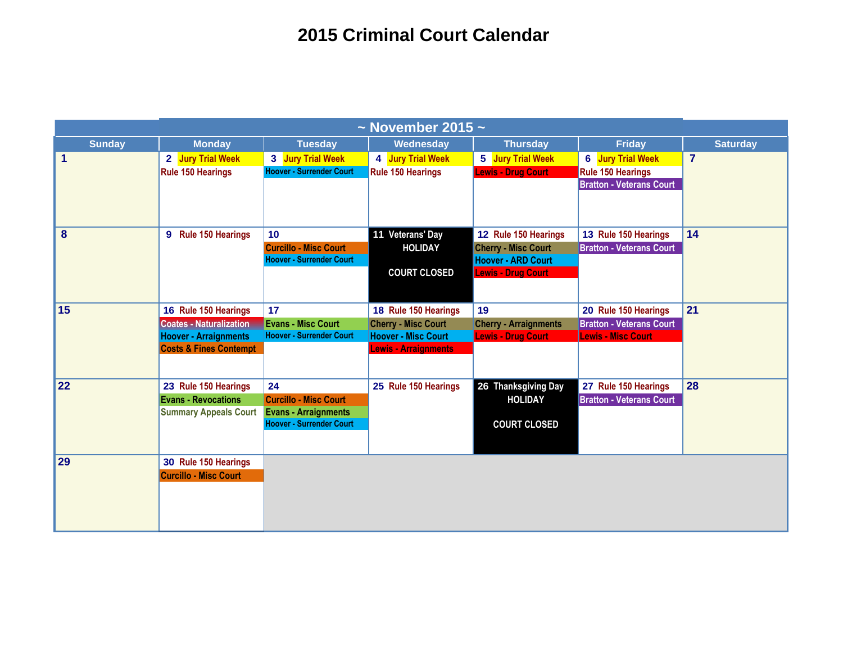| $\sim$ November 2015 $\sim$ |                                   |                                 |                             |                              |                                 |                 |
|-----------------------------|-----------------------------------|---------------------------------|-----------------------------|------------------------------|---------------------------------|-----------------|
| <b>Sunday</b>               | <b>Monday</b>                     | <b>Tuesday</b>                  | Wednesday                   | <b>Thursday</b>              | <b>Friday</b>                   | <b>Saturday</b> |
| 1                           | 2 Jury Trial Week                 | 3 Jury Trial Week               | 4 Jury Trial Week           | 5 Jury Trial Week            | <b>6</b> Jury Trial Week        | $\overline{7}$  |
|                             | <b>Rule 150 Hearings</b>          | <b>Hoover - Surrender Court</b> | <b>Rule 150 Hearings</b>    | <b>Lewis - Drug Court</b>    | <b>Rule 150 Hearings</b>        |                 |
|                             |                                   |                                 |                             |                              | <b>Bratton - Veterans Court</b> |                 |
|                             |                                   |                                 |                             |                              |                                 |                 |
| 8                           | 9 Rule 150 Hearings               | 10                              | 11 Veterans' Day            | 12 Rule 150 Hearings         | 13 Rule 150 Hearings            | 14              |
|                             |                                   | <b>Curcillo - Misc Court</b>    | <b>HOLIDAY</b>              | <b>Cherry - Misc Court</b>   | <b>Bratton - Veterans Court</b> |                 |
|                             |                                   | <b>Hoover - Surrender Court</b> |                             | <b>Hoover - ARD Court</b>    |                                 |                 |
|                             |                                   |                                 | <b>COURT CLOSED</b>         | <b>Lewis - Drug Court</b>    |                                 |                 |
|                             |                                   |                                 |                             |                              |                                 |                 |
| 15                          | 16 Rule 150 Hearings              | 17                              | 18 Rule 150 Hearings        | 19                           | 20 Rule 150 Hearings            | 21              |
|                             | <b>Coates - Naturalization</b>    | <b>Evans - Misc Court</b>       | <b>Cherry - Misc Court</b>  | <b>Cherry - Arraignments</b> | <b>Bratton - Veterans Court</b> |                 |
|                             | <b>Hoover - Arraignments</b>      | <b>Hoover - Surrender Court</b> | <b>Hoover - Misc Court</b>  | <b>Lewis - Drug Court</b>    | <b>Lewis - Misc Court</b>       |                 |
|                             | <b>Costs &amp; Fines Contempt</b> |                                 | <b>Lewis - Arraignments</b> |                              |                                 |                 |
|                             |                                   |                                 |                             |                              |                                 |                 |
| 22                          | 23 Rule 150 Hearings              | 24                              | 25 Rule 150 Hearings        | 26 Thanksgiving Day          | 27 Rule 150 Hearings            | 28              |
|                             | <b>Evans - Revocations</b>        | <b>Curcillo - Misc Court</b>    |                             | <b>HOLIDAY</b>               | <b>Bratton - Veterans Court</b> |                 |
|                             | <b>Summary Appeals Court</b>      | <b>Evans - Arraignments</b>     |                             |                              |                                 |                 |
|                             |                                   | <b>Hoover - Surrender Court</b> |                             | <b>COURT CLOSED</b>          |                                 |                 |
|                             |                                   |                                 |                             |                              |                                 |                 |
| 29                          | 30 Rule 150 Hearings              |                                 |                             |                              |                                 |                 |
|                             | <b>Curcillo - Misc Court</b>      |                                 |                             |                              |                                 |                 |
|                             |                                   |                                 |                             |                              |                                 |                 |
|                             |                                   |                                 |                             |                              |                                 |                 |
|                             |                                   |                                 |                             |                              |                                 |                 |
|                             |                                   |                                 |                             |                              |                                 |                 |